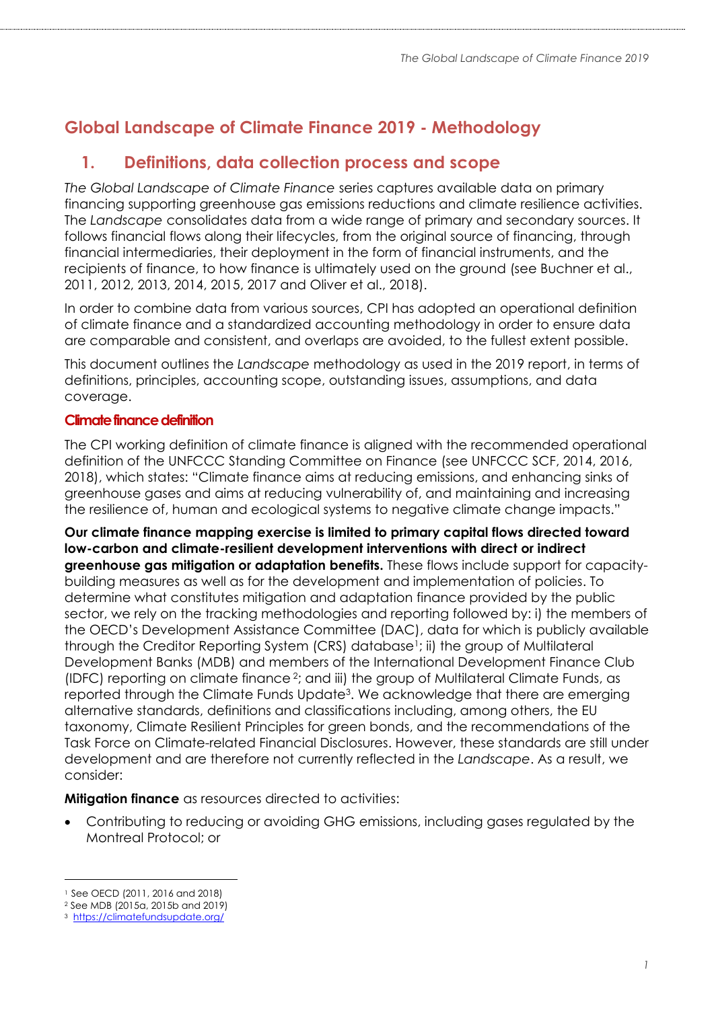# **Global Landscape of Climate Finance 2019 - Methodology**

## **1. Definitions, data collection process and scope**

*The Global Landscape of Climate Finance* series captures available data on primary financing supporting greenhouse gas emissions reductions and climate resilience activities. The *Landscape* consolidates data from a wide range of primary and secondary sources. It follows financial flows along their lifecycles, from the original source of financing, through financial intermediaries, their deployment in the form of financial instruments, and the recipients of finance, to how finance is ultimately used on the ground (see Buchner et al., 2011, 2012, 2013, 2014, 2015, 2017 and Oliver et al., 2018).

In order to combine data from various sources, CPI has adopted an operational definition of climate finance and a standardized accounting methodology in order to ensure data are comparable and consistent, and overlaps are avoided, to the fullest extent possible.

This document outlines the *Landscape* methodology as used in the 2019 report, in terms of definitions, principles, accounting scope, outstanding issues, assumptions, and data coverage.

### **Climate finance definition**

The CPI working definition of climate finance is aligned with the recommended operational definition of the UNFCCC Standing Committee on Finance (see UNFCCC SCF, 2014, 2016, 2018), which states: "Climate finance aims at reducing emissions, and enhancing sinks of greenhouse gases and aims at reducing vulnerability of, and maintaining and increasing the resilience of, human and ecological systems to negative climate change impacts."

**Our climate finance mapping exercise is limited to primary capital flows directed toward low-carbon and climate-resilient development interventions with direct or indirect greenhouse gas mitigation or adaptation benefits.** These flows include support for capacitybuilding measures as well as for the development and implementation of policies. To determine what constitutes mitigation and adaptation finance provided by the public sector, we rely on the tracking methodologies and reporting followed by: i) the members of the OECD's Development Assistance Committee (DAC), data for which is publicly available through the Creditor Reporting System (CRS) database<sup>1</sup>; ii) the group of Multilateral Development Banks (MDB) and members of the International Development Finance Club (IDFC) reporting on climate finance <sup>2</sup> ; and iii) the group of Multilateral Climate Funds, as reported through the Climate Funds Update<sup>3</sup> . We acknowledge that there are emerging alternative standards, definitions and classifications including, among others, the EU taxonomy, Climate Resilient Principles for green bonds, and the recommendations of the Task Force on Climate-related Financial Disclosures. However, these standards are still under development and are therefore not currently reflected in the *Landscape*. As a result, we consider:

**Mitigation finance** as resources directed to activities:

• Contributing to reducing or avoiding GHG emissions, including gases regulated by the Montreal Protocol; or

<sup>1</sup> See OECD (2011, 2016 and 2018)

<sup>2</sup> See MDB (2015a, 2015b and 2019)

<sup>3</sup> <https://climatefundsupdate.org/>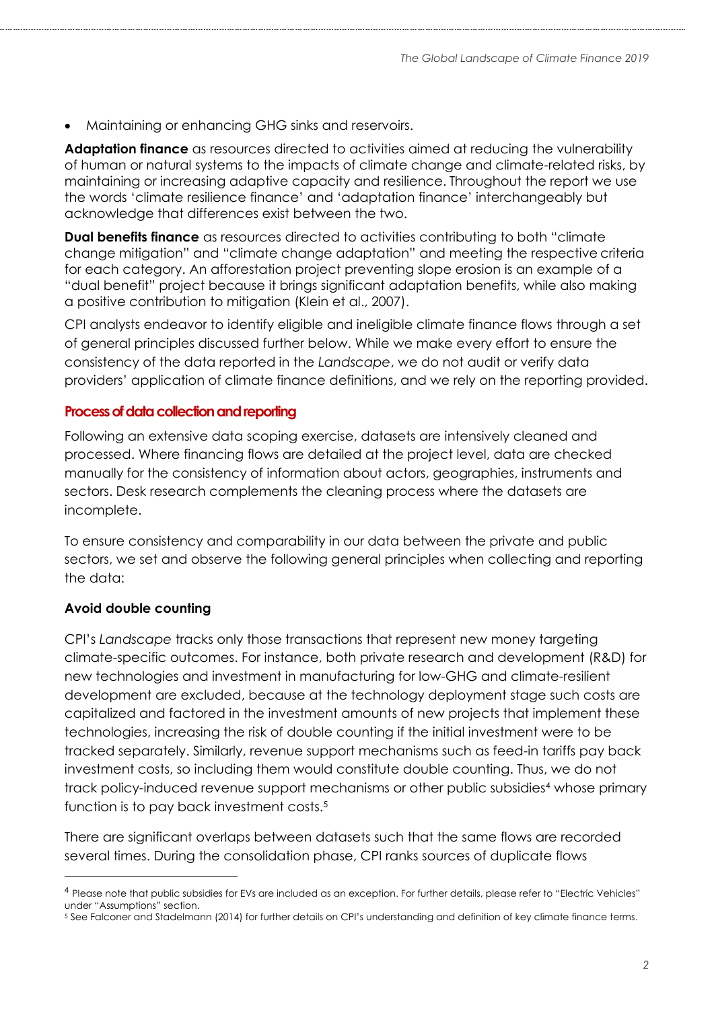• Maintaining or enhancing GHG sinks and reservoirs.

**Adaptation finance** as resources directed to activities aimed at reducing the vulnerability of human or natural systems to the impacts of climate change and climate-related risks, by maintaining or increasing adaptive capacity and resilience. Throughout the report we use the words 'climate resilience finance' and 'adaptation finance' interchangeably but acknowledge that differences exist between the two.

**Dual benefits finance** as resources directed to activities contributing to both "climate change mitigation" and "climate change adaptation" and meeting the respective criteria for each category. An afforestation project preventing slope erosion is an example of a "dual benefit" project because it brings significant adaptation benefits, while also making a positive contribution to mitigation (Klein et al., 2007).

CPI analysts endeavor to identify eligible and ineligible climate finance flows through a set of general principles discussed further below. While we make every effort to ensure the consistency of the data reported in the *Landscape*, we do not audit or verify data providers' application of climate finance definitions, and we rely on the reporting provided.

#### **Processof data collection and reporting**

Following an extensive data scoping exercise, datasets are intensively cleaned and processed. Where financing flows are detailed at the project level, data are checked manually for the consistency of information about actors, geographies, instruments and sectors. Desk research complements the cleaning process where the datasets are incomplete.

To ensure consistency and comparability in our data between the private and public sectors, we set and observe the following general principles when collecting and reporting the data:

#### **Avoid double counting**

 $\overline{a}$ 

CPI's *Landscape* tracks only those transactions that represent new money targeting climate-specific outcomes. For instance, both private research and development (R&D) for new technologies and investment in manufacturing for low-GHG and climate-resilient development are excluded, because at the technology deployment stage such costs are capitalized and factored in the investment amounts of new projects that implement these technologies, increasing the risk of double counting if the initial investment were to be tracked separately. Similarly, revenue support mechanisms such as feed-in tariffs pay back investment costs, so including them would constitute double counting. Thus, we do not track policy-induced revenue support mechanisms or other public subsidies<sup>4</sup> whose primary function is to pay back investment costs.<sup>5</sup>

There are significant overlaps between datasets such that the same flows are recorded several times. During the consolidation phase, CPI ranks sources of duplicate flows

<sup>4</sup> Please note that public subsidies for EVs are included as an exception. For further details, please refer to "Electric Vehicles" under "Assumptions" section.

<sup>5</sup> See Falconer and Stadelmann (2014) for further details on CPI's understanding and definition of key climate finance terms.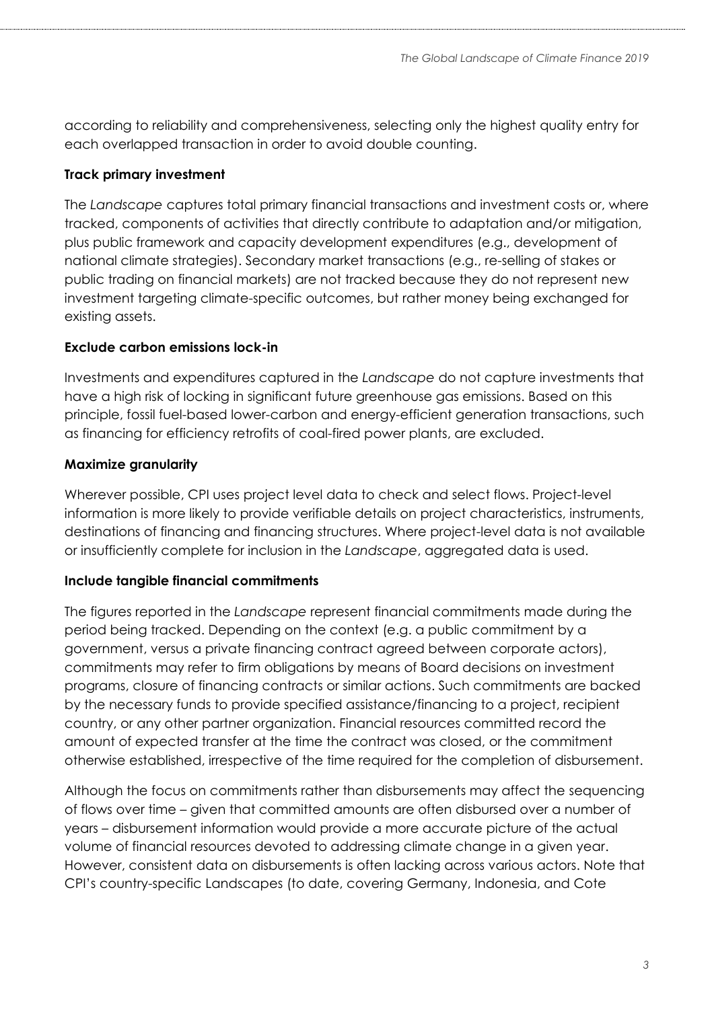according to reliability and comprehensiveness, selecting only the highest quality entry for each overlapped transaction in order to avoid double counting.

### **Track primary investment**

The *Landscape* captures total primary financial transactions and investment costs or, where tracked, components of activities that directly contribute to adaptation and/or mitigation, plus public framework and capacity development expenditures (e.g., development of national climate strategies). Secondary market transactions (e.g., re-selling of stakes or public trading on financial markets) are not tracked because they do not represent new investment targeting climate-specific outcomes, but rather money being exchanged for existing assets.

### **Exclude carbon emissions lock-in**

Investments and expenditures captured in the *Landscape* do not capture investments that have a high risk of locking in significant future greenhouse gas emissions. Based on this principle, fossil fuel-based lower-carbon and energy-efficient generation transactions, such as financing for efficiency retrofits of coal-fired power plants, are excluded.

## **Maximize granularity**

Wherever possible, CPI uses project level data to check and select flows. Project-level information is more likely to provide verifiable details on project characteristics, instruments, destinations of financing and financing structures. Where project-level data is not available or insufficiently complete for inclusion in the *Landscape*, aggregated data is used.

## **Include tangible financial commitments**

The figures reported in the *Landscape* represent financial commitments made during the period being tracked. Depending on the context (e.g. a public commitment by a government, versus a private financing contract agreed between corporate actors), commitments may refer to firm obligations by means of Board decisions on investment programs, closure of financing contracts or similar actions. Such commitments are backed by the necessary funds to provide specified assistance/financing to a project, recipient country, or any other partner organization. Financial resources committed record the amount of expected transfer at the time the contract was closed, or the commitment otherwise established, irrespective of the time required for the completion of disbursement.

Although the focus on commitments rather than disbursements may affect the sequencing of flows over time – given that committed amounts are often disbursed over a number of years – disbursement information would provide a more accurate picture of the actual volume of financial resources devoted to addressing climate change in a given year. However, consistent data on disbursements is often lacking across various actors. Note that CPI's country-specific Landscapes (to date, covering Germany, Indonesia, and Cote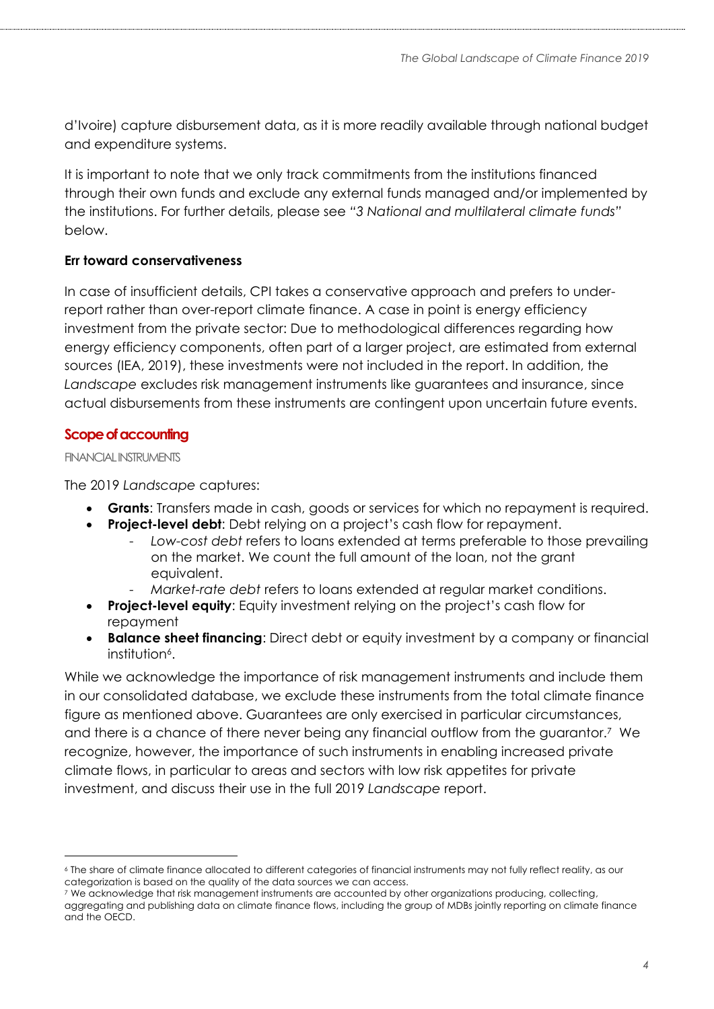d'Ivoire) capture disbursement data, as it is more readily available through national budget and expenditure systems.

It is important to note that we only track commitments from the institutions financed through their own funds and exclude any external funds managed and/or implemented by the institutions. For further details, please see *"[3](#page-5-0) [National and multilateral climate funds](#page-5-0)"* below.

### **Err toward conservativeness**

In case of insufficient details, CPI takes a conservative approach and prefers to underreport rather than over-report climate finance. A case in point is energy efficiency investment from the private sector: Due to methodological differences regarding how energy efficiency components, often part of a larger project, are estimated from external sources (IEA, 2019), these investments were not included in the report. In addition, the *Landscape* excludes risk management instruments like guarantees and insurance, since actual disbursements from these instruments are contingent upon uncertain future events.

### **Scope of accounting**

#### FINANCIAL INSTRUMENTS

The 2019 *Landscape* captures:

- **Grants**: Transfers made in cash, goods or services for which no repayment is required.
- **Project-level debt**: Debt relying on a project's cash flow for repayment.
	- *Low-cost debt* refers to loans extended at terms preferable to those prevailing on the market. We count the full amount of the loan, not the grant equivalent.
		- *Market-rate debt* refers to loans extended at regular market conditions.
- **Project-level equity**: Equity investment relying on the project's cash flow for repayment
- **Balance sheet financing**: Direct debt or equity investment by a company or financial institution<sup>6</sup>.

While we acknowledge the importance of risk management instruments and include them in our consolidated database, we exclude these instruments from the total climate finance figure as mentioned above. Guarantees are only exercised in particular circumstances, and there is a chance of there never being any financial outflow from the guarantor.<sup>7</sup> We recognize, however, the importance of such instruments in enabling increased private climate flows, in particular to areas and sectors with low risk appetites for private investment, and discuss their use in the full 2019 *Landscape* report.

<sup>6</sup> The share of climate finance allocated to different categories of financial instruments may not fully reflect reality, as our categorization is based on the quality of the data sources we can access.

<sup>7</sup> We acknowledge that risk management instruments are accounted by other organizations producing, collecting, aggregating and publishing data on climate finance flows, including the group of MDBs jointly reporting on climate finance and the OECD.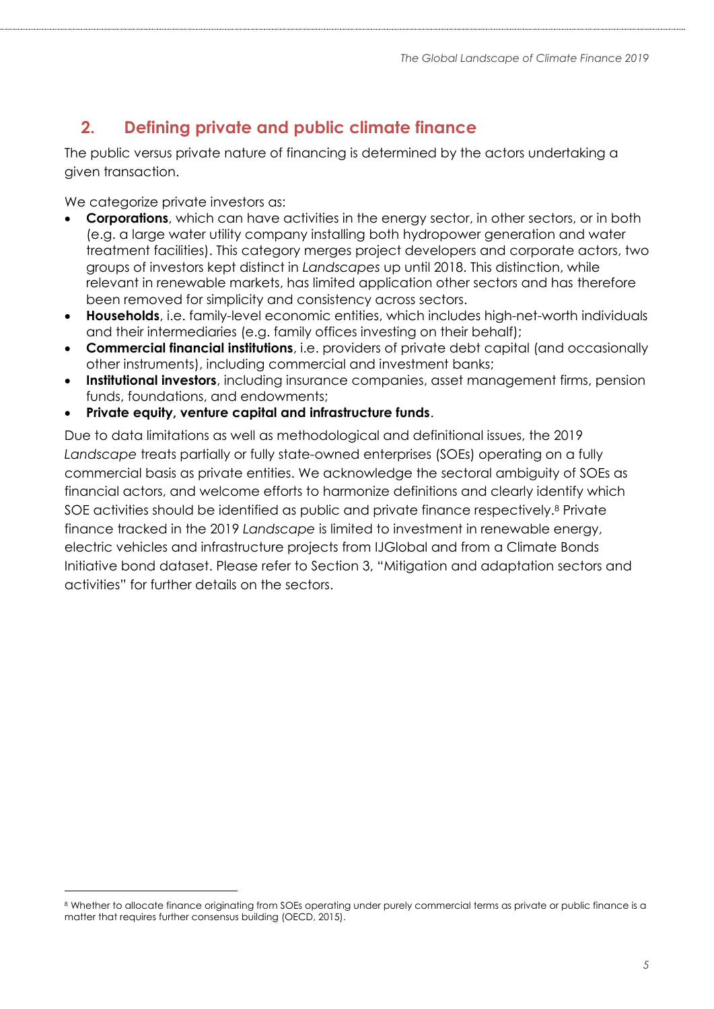# **2. Defining private and public climate finance**

The public versus private nature of financing is determined by the actors undertaking a given transaction.

We categorize private investors as:

- **Corporations**, which can have activities in the energy sector, in other sectors, or in both (e.g. a large water utility company installing both hydropower generation and water treatment facilities). This category merges project developers and corporate actors, two groups of investors kept distinct in *Landscapes* up until 2018. This distinction, while relevant in renewable markets, has limited application other sectors and has therefore been removed for simplicity and consistency across sectors.
- **Households**, i.e. family-level economic entities, which includes high-net-worth individuals and their intermediaries (e.g. family offices investing on their behalf);
- **Commercial financial institutions**, i.e. providers of private debt capital (and occasionally other instruments), including commercial and investment banks;
- **Institutional investors**, including insurance companies, asset management firms, pension funds, foundations, and endowments;
- **Private equity, venture capital and infrastructure funds**.

Due to data limitations as well as methodological and definitional issues, the 2019 *Landscape* treats partially or fully state-owned enterprises (SOEs) operating on a fully commercial basis as private entities. We acknowledge the sectoral ambiguity of SOEs as financial actors, and welcome efforts to harmonize definitions and clearly identify which SOE activities should be identified as public and private finance respectively.<sup>8</sup> Private finance tracked in the 2019 *Landscape* is limited to investment in renewable energy, electric vehicles and infrastructure projects from IJGlobal and from a Climate Bonds Initiative bond dataset. Please refer to Section [3,](#page-9-0) "[Mitigation and adaptation](#page-9-0) sectors and [activities](#page-9-0)" for further details on the sectors.

<sup>8</sup> Whether to allocate finance originating from SOEs operating under purely commercial terms as private or public finance is a matter that requires further consensus building (OECD, 2015).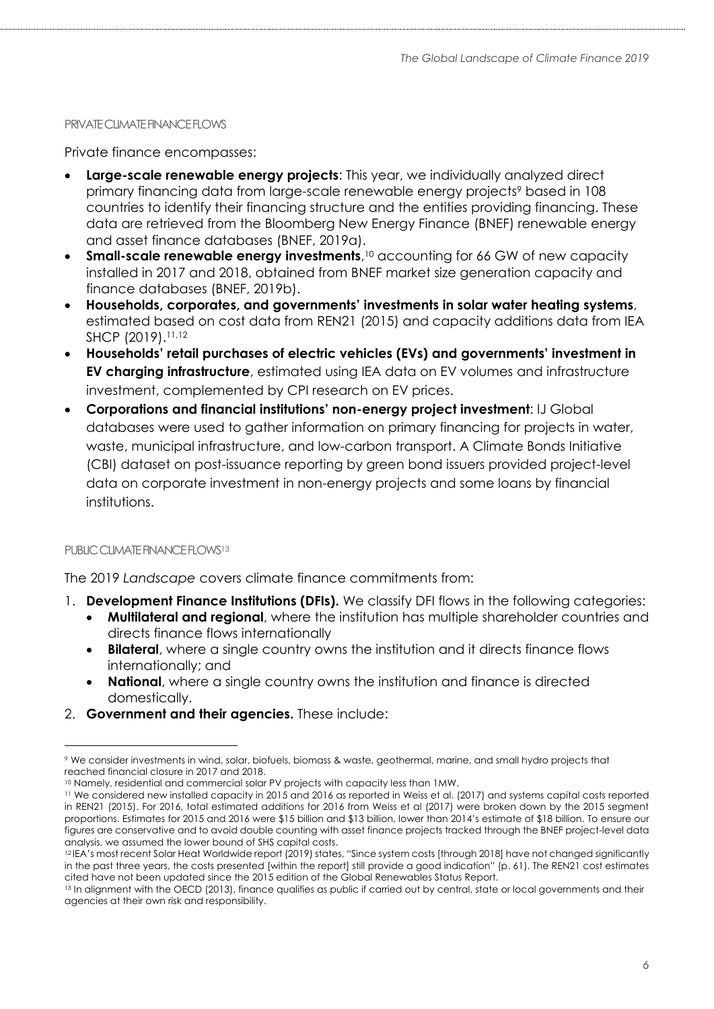#### <span id="page-5-0"></span>PRIVATE CLIMATE FINANCE FLOWS

Private finance encompasses:

- **Large-scale renewable energy projects**: This year, we individually analyzed direct primary financing data from large-scale renewable energy projects<sup>9</sup> based in 108 countries to identify their financing structure and the entities providing financing. These data are retrieved from the Bloomberg New Energy Finance (BNEF) renewable energy and asset finance databases (BNEF, 2019a).
- **Small-scale renewable energy investments**, <sup>10</sup> accounting for 66 GW of new capacity installed in 2017 and 2018, obtained from BNEF market size generation capacity and finance databases (BNEF, 2019b).
- **Households, corporates, and governments' investments in solar water heating systems**, estimated based on cost data from REN21 (2015) and capacity additions data from IEA SHCP (2019). 11,12
- **Households' retail purchases of electric vehicles (EVs) and governments' investment in EV charging infrastructure**, estimated using IEA data on EV volumes and infrastructure investment, complemented by CPI research on EV prices.
- **Corporations and financial institutions' non-energy project investment**: IJ Global databases were used to gather information on primary financing for projects in water, waste, municipal infrastructure, and low-carbon transport. A Climate Bonds Initiative (CBI) dataset on post-issuance reporting by green bond issuers provided project-level data on corporate investment in non-energy projects and some loans by financial institutions.

#### PUBLIC CLIMATE FINANCE FLOWS<sup>13</sup>

 $\overline{a}$ 

The 2019 *Landscape* covers climate finance commitments from:

- 1. **Development Finance Institutions (DFIs).** We classify DFI flows in the following categories:
	- **Multilateral and regional**, where the institution has multiple shareholder countries and directs finance flows internationally
	- **Bilateral**, where a single country owns the institution and it directs finance flows internationally; and
	- **National**, where a single country owns the institution and finance is directed domestically.
- 2. **Government and their agencies.** These include:

<sup>9</sup> We consider investments in wind, solar, biofuels, biomass & waste, geothermal, marine, and small hydro projects that reached financial closure in 2017 and 2018.

<sup>10</sup> Namely, residential and commercial solar PV projects with capacity less than 1MW.

<sup>11</sup> We considered new installed capacity in 2015 and 2016 as reported in Weiss et al. (2017) and systems capital costs reported in REN21 (2015). For 2016, total estimated additions for 2016 from Weiss et al (2017) were broken down by the 2015 segment proportions. Estimates for 2015 and 2016 were \$15 billion and \$13 billion, lower than 2014's estimate of \$18 billion. To ensure our figures are conservative and to avoid double counting with asset finance projects tracked through the BNEF project-level data analysis, we assumed the lower bound of SHS capital costs.

<sup>12</sup> IEA's most recent Solar Heat Worldwide report (2019) states, "Since system costs [through 2018] have not changed significantly in the past three years, the costs presented [within the report] still provide a good indication" (p. 61). The REN21 cost estimates cited have not been updated since the 2015 edition of the Global Renewables Status Report.

<sup>13</sup> In alignment with the OECD (2013), finance qualifies as public if carried out by central, state or local governments and their agencies at their own risk and responsibility.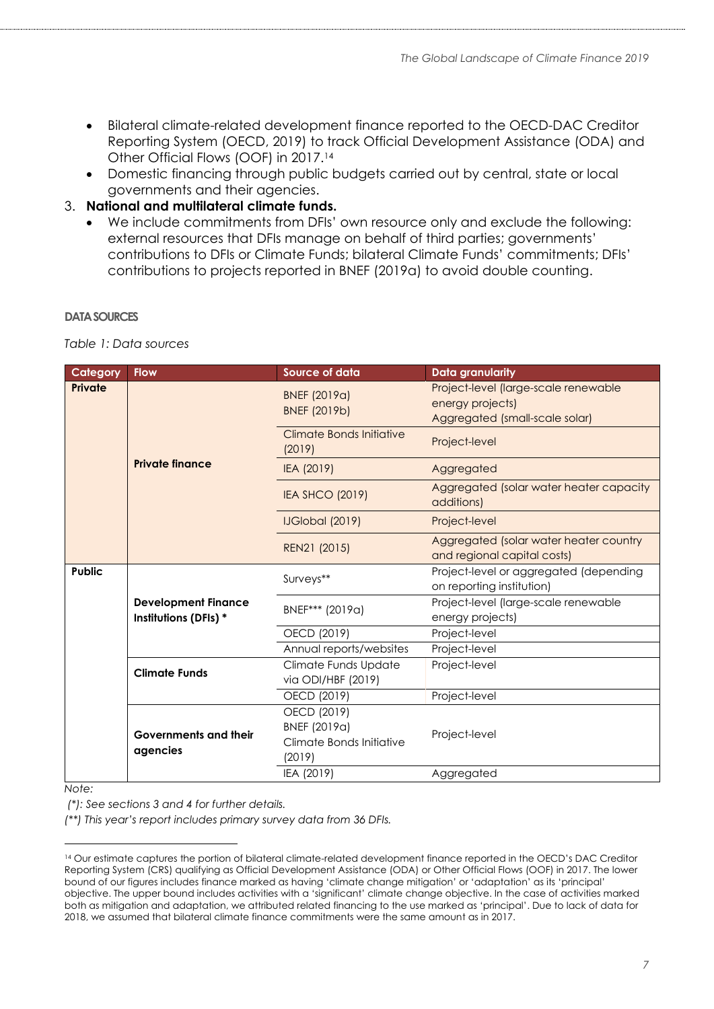- Bilateral climate-related development finance reported to the OECD-DAC Creditor Reporting System (OECD, 2019) to track Official Development Assistance (ODA) and Other Official Flows (OOF) in 2017. 14
- Domestic financing through public budgets carried out by central, state or local governments and their agencies.
- 3. **National and multilateral climate funds.**
	- We include commitments from DFIs' own resource only and exclude the following: external resources that DFIs manage on behalf of third parties; governments' contributions to DFIs or Climate Funds; bilateral Climate Funds' commitments; DFIs' contributions to projects reported in BNEF (2019a) to avoid double counting.

#### **DATA SOURCES**

*Table 1: Data sources*

| Category      | <b>Flow</b>                                         | <b>Source of data</b>                                             | <b>Data granularity</b>                                                                    |
|---------------|-----------------------------------------------------|-------------------------------------------------------------------|--------------------------------------------------------------------------------------------|
| Private       |                                                     | BNEF (2019a)<br>BNEF (2019b)                                      | Project-level (large-scale renewable<br>energy projects)<br>Aggregated (small-scale solar) |
|               |                                                     | Climate Bonds Initiative<br>(2019)                                | Project-level                                                                              |
|               | <b>Private finance</b>                              | IEA (2019)                                                        | Aggregated                                                                                 |
|               |                                                     | <b>IEA SHCO (2019)</b>                                            | Aggregated (solar water heater capacity<br>additions)                                      |
|               |                                                     | <b>IJGlobal (2019)</b>                                            | Project-level                                                                              |
|               |                                                     | REN21 (2015)                                                      | Aggregated (solar water heater country<br>and regional capital costs)                      |
| <b>Public</b> | <b>Development Finance</b><br>Institutions (DFIs) * | Surveys**                                                         | Project-level or aggregated (depending<br>on reporting institution)                        |
|               |                                                     | BNEF*** (2019a)                                                   | Project-level (large-scale renewable<br>energy projects)                                   |
|               |                                                     | OECD (2019)                                                       | Project-level                                                                              |
|               |                                                     | Annual reports/websites                                           | Project-level                                                                              |
|               | <b>Climate Funds</b>                                | Climate Funds Update<br>via ODI/HBF (2019)                        | Project-level                                                                              |
|               |                                                     | OECD (2019)                                                       | Project-level                                                                              |
|               | <b>Governments and their</b><br>agencies            | OECD (2019)<br>BNEF (2019a)<br>Climate Bonds Initiative<br>(2019) | Project-level                                                                              |
|               |                                                     | IEA (2019)                                                        | Aggregated                                                                                 |

*Note:*

 $\overline{a}$ 

*(\*): See sections 3 and 4 for further details.*

*(\*\*) This year's report includes primary survey data from 36 DFIs.*

<sup>&</sup>lt;sup>14</sup> Our estimate captures the portion of bilateral climate-related development finance reported in the OECD's DAC Creditor Reporting System (CRS) qualifying as Official Development Assistance (ODA) or Other Official Flows (OOF) in 2017. The lower bound of our figures includes finance marked as having 'climate change mitigation' or 'adaptation' as its 'principal' objective. The upper bound includes activities with a 'significant' climate change objective. In the case of activities marked both as mitigation and adaptation, we attributed related financing to the use marked as 'principal'. Due to lack of data for 2018, we assumed that bilateral climate finance commitments were the same amount as in 2017.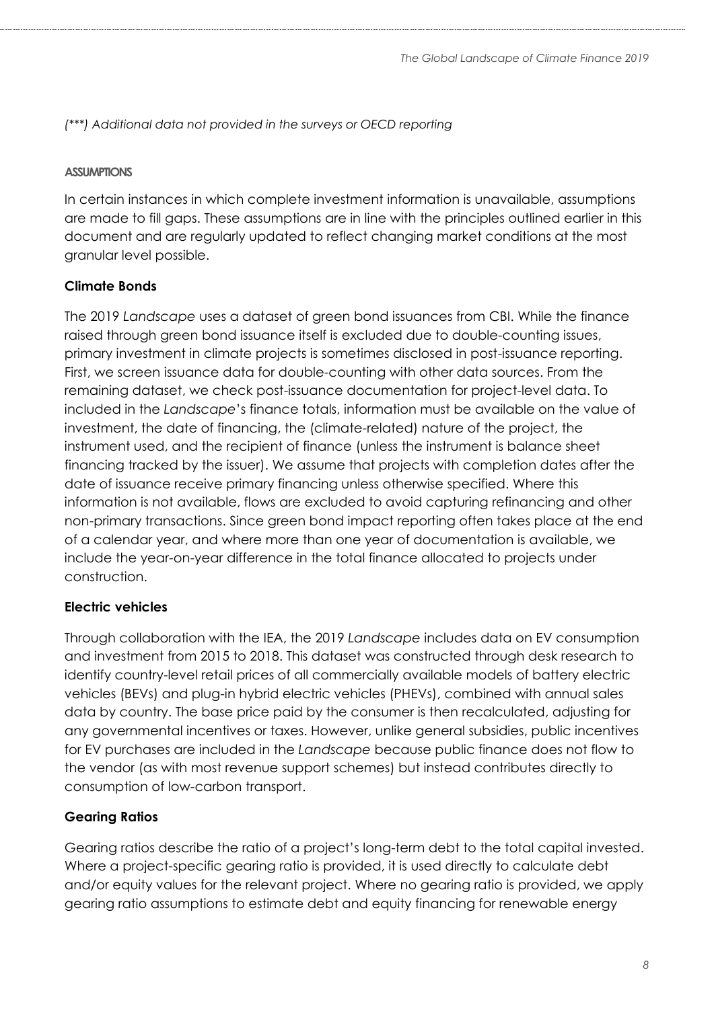*(\*\*\*) Additional data not provided in the surveys or OECD reporting*

#### **ASSUMPTIONS**

In certain instances in which complete investment information is unavailable, assumptions are made to fill gaps. These assumptions are in line with the principles outlined earlier in this document and are regularly updated to reflect changing market conditions at the most granular level possible.

### **Climate Bonds**

The 2019 *Landscape* uses a dataset of green bond issuances from CBI. While the finance raised through green bond issuance itself is excluded due to double-counting issues, primary investment in climate projects is sometimes disclosed in post-issuance reporting. First, we screen issuance data for double-counting with other data sources. From the remaining dataset, we check post-issuance documentation for project-level data. To included in the *Landscape*'s finance totals, information must be available on the value of investment, the date of financing, the (climate-related) nature of the project, the instrument used, and the recipient of finance (unless the instrument is balance sheet financing tracked by the issuer). We assume that projects with completion dates after the date of issuance receive primary financing unless otherwise specified. Where this information is not available, flows are excluded to avoid capturing refinancing and other non-primary transactions. Since green bond impact reporting often takes place at the end of a calendar year, and where more than one year of documentation is available, we include the year-on-year difference in the total finance allocated to projects under construction.

#### **Electric vehicles**

Through collaboration with the IEA, the 2019 *Landscape* includes data on EV consumption and investment from 2015 to 2018. This dataset was constructed through desk research to identify country-level retail prices of all commercially available models of battery electric vehicles (BEVs) and plug-in hybrid electric vehicles (PHEVs), combined with annual sales data by country. The base price paid by the consumer is then recalculated, adjusting for any governmental incentives or taxes. However, unlike general subsidies, public incentives for EV purchases are included in the *Landscape* because public finance does not flow to the vendor (as with most revenue support schemes) but instead contributes directly to consumption of low-carbon transport.

#### **Gearing Ratios**

Gearing ratios describe the ratio of a project's long-term debt to the total capital invested. Where a project-specific gearing ratio is provided, it is used directly to calculate debt and/or equity values for the relevant project. Where no gearing ratio is provided, we apply gearing ratio assumptions to estimate debt and equity financing for renewable energy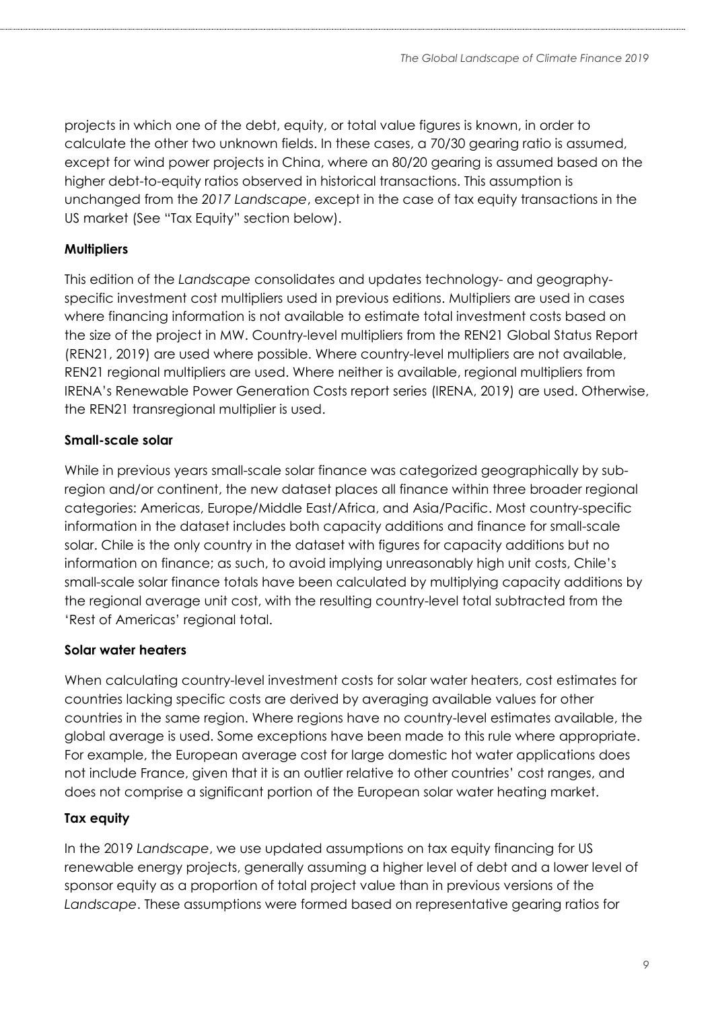projects in which one of the debt, equity, or total value figures is known, in order to calculate the other two unknown fields. In these cases, a 70/30 gearing ratio is assumed, except for wind power projects in China, where an 80/20 gearing is assumed based on the higher debt-to-equity ratios observed in historical transactions. This assumption is unchanged from the *2017 Landscape*, except in the case of tax equity transactions in the US market (See "Tax Equity" section below).

### **Multipliers**

This edition of the *Landscape* consolidates and updates technology- and geographyspecific investment cost multipliers used in previous editions. Multipliers are used in cases where financing information is not available to estimate total investment costs based on the size of the project in MW. Country-level multipliers from the REN21 Global Status Report (REN21, 2019) are used where possible. Where country-level multipliers are not available, REN21 regional multipliers are used. Where neither is available, regional multipliers from IRENA's Renewable Power Generation Costs report series (IRENA, 2019) are used. Otherwise, the REN21 transregional multiplier is used.

### **Small-scale solar**

While in previous years small-scale solar finance was categorized geographically by subregion and/or continent, the new dataset places all finance within three broader regional categories: Americas, Europe/Middle East/Africa, and Asia/Pacific. Most country-specific information in the dataset includes both capacity additions and finance for small-scale solar. Chile is the only country in the dataset with figures for capacity additions but no information on finance; as such, to avoid implying unreasonably high unit costs, Chile's small-scale solar finance totals have been calculated by multiplying capacity additions by the regional average unit cost, with the resulting country-level total subtracted from the 'Rest of Americas' regional total.

### **Solar water heaters**

When calculating country-level investment costs for solar water heaters, cost estimates for countries lacking specific costs are derived by averaging available values for other countries in the same region. Where regions have no country-level estimates available, the global average is used. Some exceptions have been made to this rule where appropriate. For example, the European average cost for large domestic hot water applications does not include France, given that it is an outlier relative to other countries' cost ranges, and does not comprise a significant portion of the European solar water heating market.

### **Tax equity**

In the 2019 *Landscape*, we use updated assumptions on tax equity financing for US renewable energy projects, generally assuming a higher level of debt and a lower level of sponsor equity as a proportion of total project value than in previous versions of the *Landscape*. These assumptions were formed based on representative gearing ratios for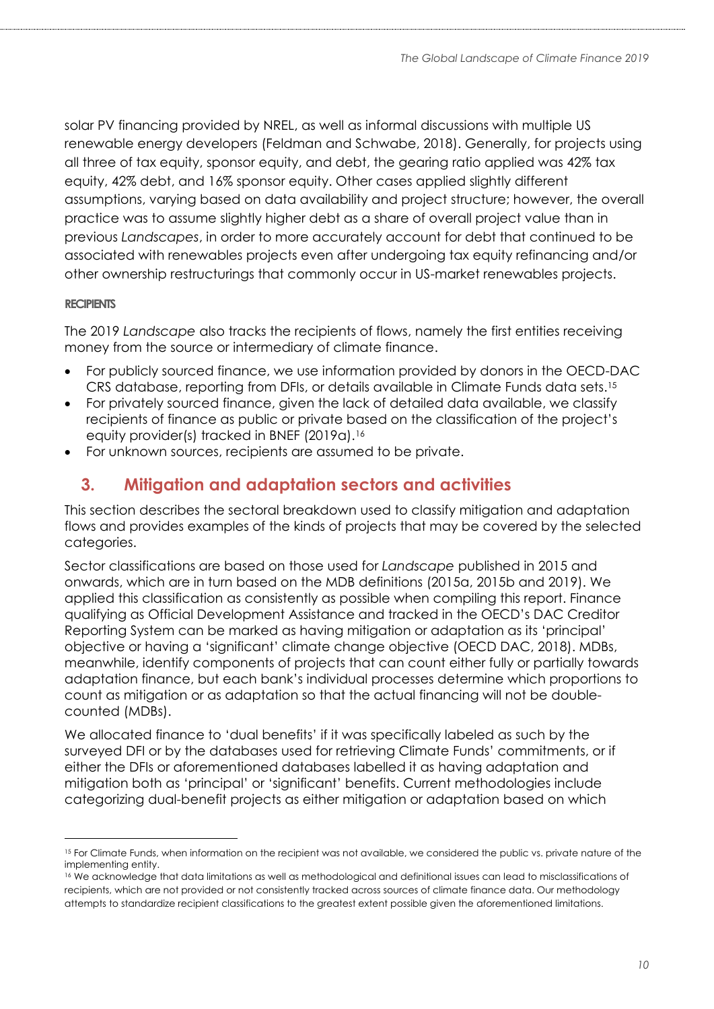solar PV financing provided by NREL, as well as informal discussions with multiple US renewable energy developers (Feldman and Schwabe, 2018). Generally, for projects using all three of tax equity, sponsor equity, and debt, the gearing ratio applied was 42% tax equity, 42% debt, and 16% sponsor equity. Other cases applied slightly different assumptions, varying based on data availability and project structure; however, the overall practice was to assume slightly higher debt as a share of overall project value than in previous *Landscapes*, in order to more accurately account for debt that continued to be associated with renewables projects even after undergoing tax equity refinancing and/or other ownership restructurings that commonly occur in US-market renewables projects.

#### **RECIPIENTS**

The 2019 *Landscape* also tracks the recipients of flows, namely the first entities receiving money from the source or intermediary of climate finance.

- For publicly sourced finance, we use information provided by donors in the OECD-DAC CRS database, reporting from DFIs, or details available in Climate Funds data sets.<sup>15</sup>
- For privately sourced finance, given the lack of detailed data available, we classify recipients of finance as public or private based on the classification of the project's equity provider(s) tracked in BNEF (2019a).<sup>16</sup>
- For unknown sources, recipients are assumed to be private.

## <span id="page-9-0"></span>**3. Mitigation and adaptation sectors and activities**

This section describes the sectoral breakdown used to classify mitigation and adaptation flows and provides examples of the kinds of projects that may be covered by the selected categories.

Sector classifications are based on those used for *Landscape* published in 2015 and onwards, which are in turn based on the MDB definitions (2015a, 2015b and 2019). We applied this classification as consistently as possible when compiling this report. Finance qualifying as Official Development Assistance and tracked in the OECD's DAC Creditor Reporting System can be marked as having mitigation or adaptation as its 'principal' objective or having a 'significant' climate change objective (OECD DAC, 2018). MDBs, meanwhile, identify components of projects that can count either fully or partially towards adaptation finance, but each bank's individual processes determine which proportions to count as mitigation or as adaptation so that the actual financing will not be doublecounted (MDBs).

We allocated finance to 'dual benefits' if it was specifically labeled as such by the surveyed DFI or by the databases used for retrieving Climate Funds' commitments, or if either the DFIs or aforementioned databases labelled it as having adaptation and mitigation both as 'principal' or 'significant' benefits. Current methodologies include categorizing dual-benefit projects as either mitigation or adaptation based on which

<sup>&</sup>lt;sup>15</sup> For Climate Funds, when information on the recipient was not available, we considered the public vs. private nature of the implementing entity.

<sup>16</sup> We acknowledge that data limitations as well as methodological and definitional issues can lead to misclassifications of recipients, which are not provided or not consistently tracked across sources of climate finance data. Our methodology attempts to standardize recipient classifications to the greatest extent possible given the aforementioned limitations.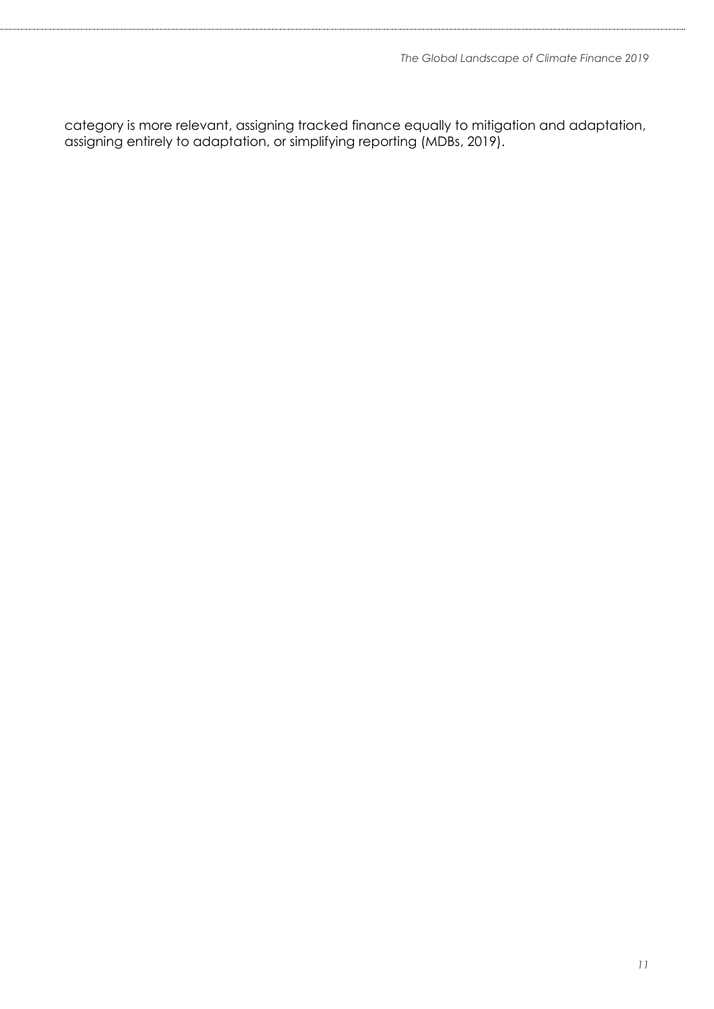category is more relevant, assigning tracked finance equally to mitigation and adaptation, assigning entirely to adaptation, or simplifying reporting (MDBs, 2019).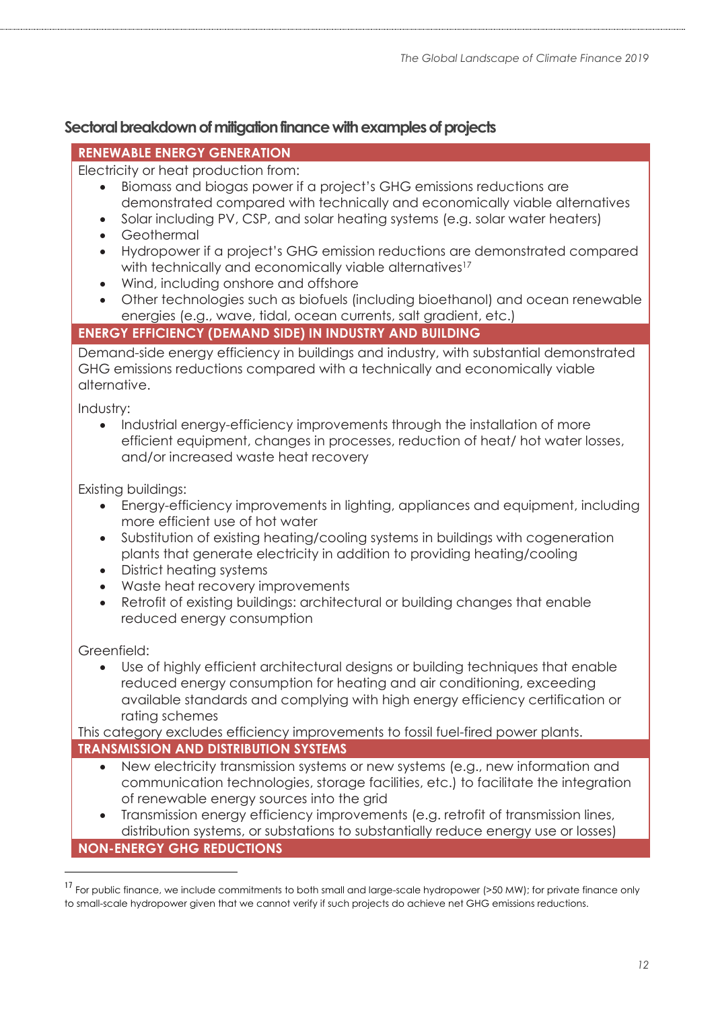## **Sectoral breakdown of mitigation finance with examples of projects**

### **RENEWABLE ENERGY GENERATION**

Electricity or heat production from:

- Biomass and biogas power if a project's GHG emissions reductions are demonstrated compared with technically and economically viable alternatives
- Solar including PV, CSP, and solar heating systems (e.g. solar water heaters)
- Geothermal
- Hydropower if a project's GHG emission reductions are demonstrated compared with technically and economically viable alternatives<sup>17</sup>
- Wind, including onshore and offshore
- Other technologies such as biofuels (including bioethanol) and ocean renewable energies (e.g., wave, tidal, ocean currents, salt gradient, etc.)

### **ENERGY EFFICIENCY (DEMAND SIDE) IN INDUSTRY AND BUILDING**

Demand-side energy efficiency in buildings and industry, with substantial demonstrated GHG emissions reductions compared with a technically and economically viable alternative.

Industry:

• Industrial energy-efficiency improvements through the installation of more efficient equipment, changes in processes, reduction of heat/ hot water losses, and/or increased waste heat recovery

Existing buildings:

- Energy-efficiency improvements in lighting, appliances and equipment, including more efficient use of hot water
- Substitution of existing heating/cooling systems in buildings with cogeneration plants that generate electricity in addition to providing heating/cooling
- District heating systems
- Waste heat recovery improvements
- Retrofit of existing buildings: architectural or building changes that enable reduced energy consumption

Greenfield:

• Use of highly efficient architectural designs or building techniques that enable reduced energy consumption for heating and air conditioning, exceeding available standards and complying with high energy efficiency certification or rating schemes

This category excludes efficiency improvements to fossil fuel-fired power plants. **TRANSMISSION AND DISTRIBUTION SYSTEMS**

- New electricity transmission systems or new systems (e.g., new information and communication technologies, storage facilities, etc.) to facilitate the integration of renewable energy sources into the grid
- Transmission energy efficiency improvements (e.g. retrofit of transmission lines, distribution systems, or substations to substantially reduce energy use or losses) **NON-ENERGY GHG REDUCTIONS**

<sup>&</sup>lt;sup>17</sup> For public finance, we include commitments to both small and large-scale hydropower (>50 MW); for private finance only to small-scale hydropower given that we cannot verify if such projects do achieve net GHG emissions reductions.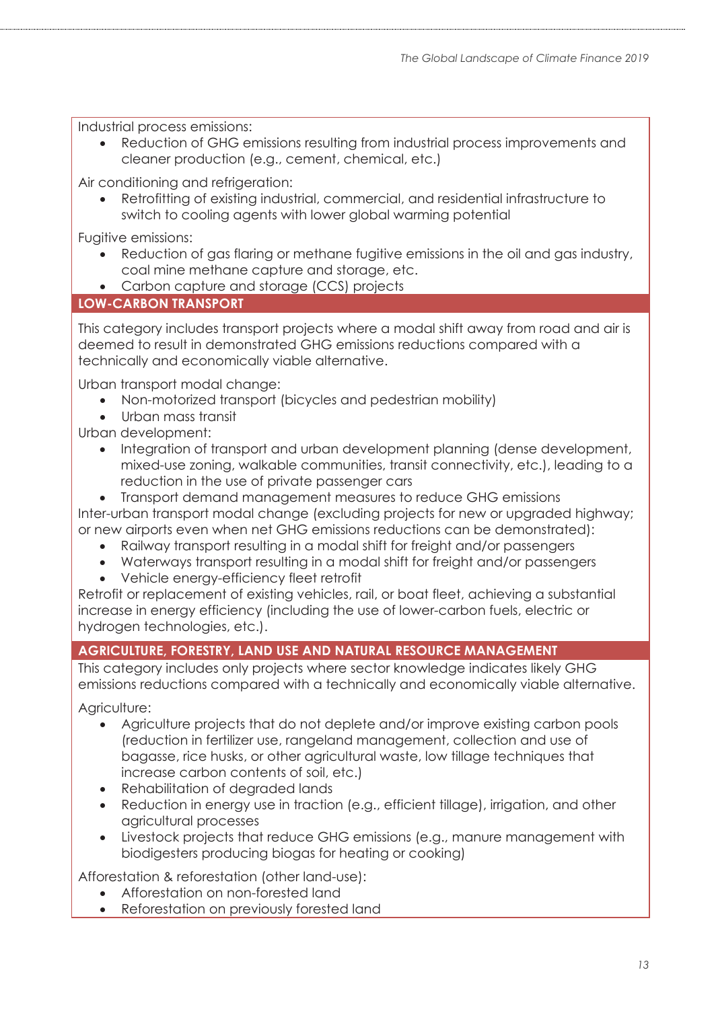Industrial process emissions:

• Reduction of GHG emissions resulting from industrial process improvements and cleaner production (e.g., cement, chemical, etc.)

Air conditioning and refrigeration:

• Retrofitting of existing industrial, commercial, and residential infrastructure to switch to cooling agents with lower global warming potential

Fugitive emissions:

- Reduction of gas flaring or methane fugitive emissions in the oil and gas industry, coal mine methane capture and storage, etc.
- Carbon capture and storage (CCS) projects

### **LOW-CARBON TRANSPORT**

This category includes transport projects where a modal shift away from road and air is deemed to result in demonstrated GHG emissions reductions compared with a technically and economically viable alternative.

Urban transport modal change:

- Non-motorized transport (bicycles and pedestrian mobility)
- Urban mass transit

Urban development:

- Integration of transport and urban development planning (dense development, mixed-use zoning, walkable communities, transit connectivity, etc.), leading to a reduction in the use of private passenger cars
- Transport demand management measures to reduce GHG emissions Inter-urban transport modal change (excluding projects for new or upgraded highway;
- or new airports even when net GHG emissions reductions can be demonstrated):
	- Railway transport resulting in a modal shift for freight and/or passengers
	- Waterways transport resulting in a modal shift for freight and/or passengers
	- Vehicle energy-efficiency fleet retrofit

Retrofit or replacement of existing vehicles, rail, or boat fleet, achieving a substantial increase in energy efficiency (including the use of lower-carbon fuels, electric or hydrogen technologies, etc.).

### **AGRICULTURE, FORESTRY, LAND USE AND NATURAL RESOURCE MANAGEMENT**

This category includes only projects where sector knowledge indicates likely GHG emissions reductions compared with a technically and economically viable alternative.

Agriculture:

- Agriculture projects that do not deplete and/or improve existing carbon pools (reduction in fertilizer use, rangeland management, collection and use of bagasse, rice husks, or other agricultural waste, low tillage techniques that increase carbon contents of soil, etc.)
- Rehabilitation of degraded lands
- Reduction in energy use in traction (e.g., efficient tillage), irrigation, and other agricultural processes
- Livestock projects that reduce GHG emissions (e.g., manure management with biodigesters producing biogas for heating or cooking)

Afforestation & reforestation (other land-use):

- Afforestation on non-forested land
- Reforestation on previously forested land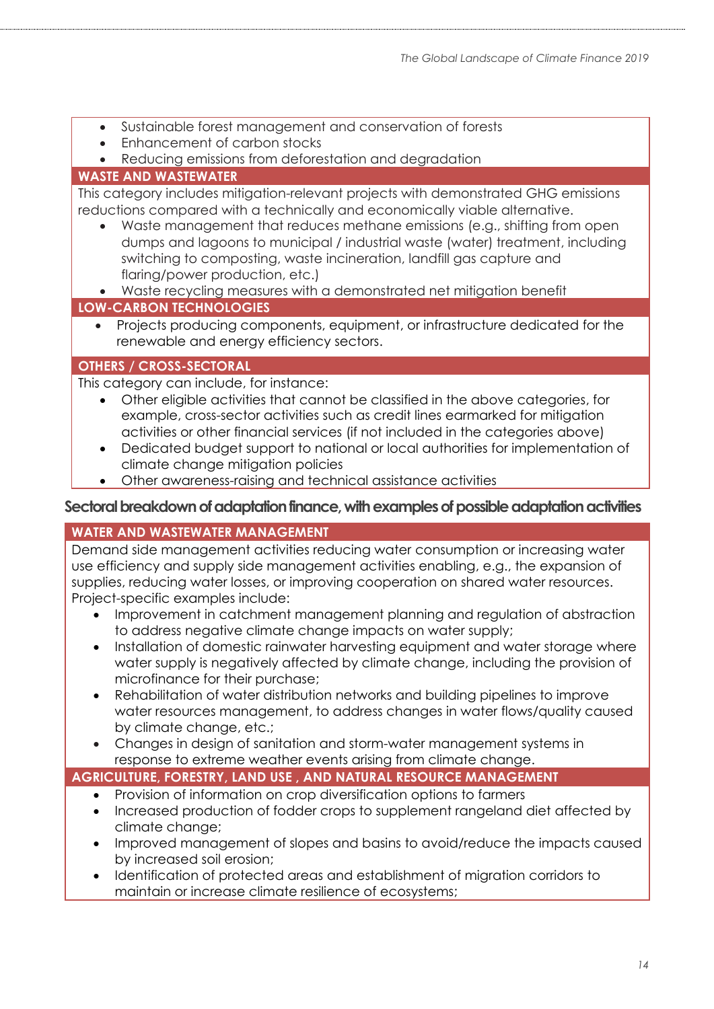- Sustainable forest management and conservation of forests
- Enhancement of carbon stocks
- Reducing emissions from deforestation and degradation

### **WASTE AND WASTEWATER**

This category includes mitigation-relevant projects with demonstrated GHG emissions reductions compared with a technically and economically viable alternative.

- Waste management that reduces methane emissions (e.g., shifting from open dumps and lagoons to municipal / industrial waste (water) treatment, including switching to composting, waste incineration, landfill gas capture and flaring/power production, etc.)
- Waste recycling measures with a demonstrated net mitigation benefit **LOW-CARBON TECHNOLOGIES**
	- Projects producing components, equipment, or infrastructure dedicated for the renewable and energy efficiency sectors.

#### **OTHERS / CROSS-SECTORAL**

This category can include, for instance:

- Other eligible activities that cannot be classified in the above categories, for example, cross-sector activities such as credit lines earmarked for mitigation activities or other financial services (if not included in the categories above)
- Dedicated budget support to national or local authorities for implementation of climate change mitigation policies
- Other awareness-raising and technical assistance activities

#### Sectoral breakdown of adaptation finance, with examples of possible adaptation activities

#### **WATER AND WASTEWATER MANAGEMENT**

Demand side management activities reducing water consumption or increasing water use efficiency and supply side management activities enabling, e.g., the expansion of supplies, reducing water losses, or improving cooperation on shared water resources. Project-specific examples include:

- Improvement in catchment management planning and regulation of abstraction to address negative climate change impacts on water supply;
- Installation of domestic rainwater harvesting equipment and water storage where water supply is negatively affected by climate change, including the provision of microfinance for their purchase;
- Rehabilitation of water distribution networks and building pipelines to improve water resources management, to address changes in water flows/quality caused by climate change, etc.;
- Changes in design of sanitation and storm-water management systems in response to extreme weather events arising from climate change.

### **AGRICULTURE, FORESTRY, LAND USE , AND NATURAL RESOURCE MANAGEMENT**

- Provision of information on crop diversification options to farmers
- Increased production of fodder crops to supplement rangeland diet affected by climate change;
- Improved management of slopes and basins to avoid/reduce the impacts caused by increased soil erosion;
- Identification of protected areas and establishment of migration corridors to maintain or increase climate resilience of ecosystems;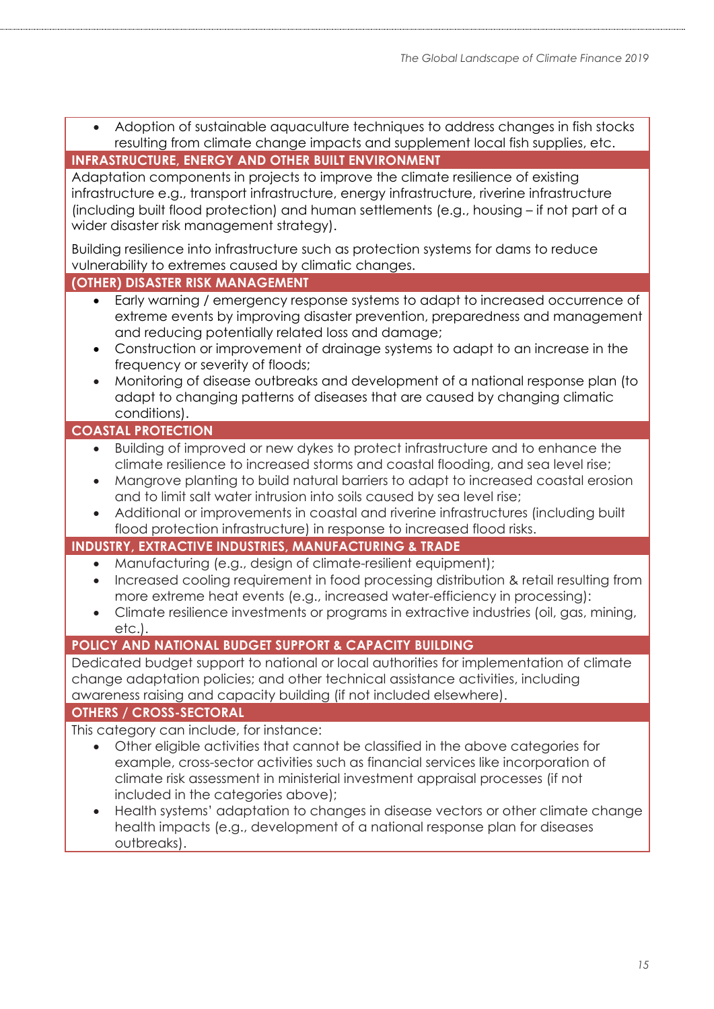| <b>INFRASTRUCTURE, ENERGY AND OTHER BUILT ENVIRONMENT</b>                                                                                                                                                                                                                                                                                                                                                                                                                                                                                                  |  |  |  |  |
|------------------------------------------------------------------------------------------------------------------------------------------------------------------------------------------------------------------------------------------------------------------------------------------------------------------------------------------------------------------------------------------------------------------------------------------------------------------------------------------------------------------------------------------------------------|--|--|--|--|
| Adaptation components in projects to improve the climate resilience of existing<br>infrastructure e.g., transport infrastructure, energy infrastructure, riverine infrastructure<br>(including built flood protection) and human settlements (e.g., housing - if not part of a<br>wider disaster risk management strategy).                                                                                                                                                                                                                                |  |  |  |  |
| Building resilience into infrastructure such as protection systems for dams to reduce<br>vulnerability to extremes caused by climatic changes.                                                                                                                                                                                                                                                                                                                                                                                                             |  |  |  |  |
| (OTHER) DISASTER RISK MANAGEMENT                                                                                                                                                                                                                                                                                                                                                                                                                                                                                                                           |  |  |  |  |
| Early warning / emergency response systems to adapt to increased occurrence of<br>$\bullet$<br>extreme events by improving disaster prevention, preparedness and management<br>and reducing potentially related loss and damage;<br>Construction or improvement of drainage systems to adapt to an increase in the<br>٠<br>frequency or severity of floods;<br>Monitoring of disease outbreaks and development of a national response plan (to<br>$\bullet$<br>adapt to changing patterns of diseases that are caused by changing climatic<br>conditions). |  |  |  |  |
| <b>COASTAL PROTECTION</b>                                                                                                                                                                                                                                                                                                                                                                                                                                                                                                                                  |  |  |  |  |
| Building of improved or new dykes to protect infrastructure and to enhance the<br>climate resilience to increased storms and coastal flooding, and sea level rise;<br>Mangrove planting to build natural barriers to adapt to increased coastal erosion<br>$\bullet$<br>and to limit salt water intrusion into soils caused by sea level rise;<br>Additional or improvements in coastal and riverine infrastructures (including built<br>flood protection infrastructure) in response to increased flood risks.                                            |  |  |  |  |
| <b>INDUSTRY, EXTRACTIVE INDUSTRIES, MANUFACTURING &amp; TRADE</b>                                                                                                                                                                                                                                                                                                                                                                                                                                                                                          |  |  |  |  |
| Manufacturing (e.g., design of climate-resilient equipment);<br>$\bullet$<br>Increased cooling requirement in food processing distribution & retail resulting from<br>$\bullet$<br>more extreme heat events (e.g., increased water-efficiency in processing):<br>Climate resilience investments or programs in extractive industries (oil, gas, mining,<br>$\bullet$<br>$etc.$ ).                                                                                                                                                                          |  |  |  |  |
| POLICY AND NATIONAL BUDGET SUPPORT & CAPACITY BUILDING                                                                                                                                                                                                                                                                                                                                                                                                                                                                                                     |  |  |  |  |
| Dedicated budget support to national or local authorities for implementation of climate<br>change adaptation policies; and other technical assistance activities, including<br>awareness raising and capacity building (if not included elsewhere).                                                                                                                                                                                                                                                                                                        |  |  |  |  |
| <b>OTHERS / CROSS-SECTORAL</b>                                                                                                                                                                                                                                                                                                                                                                                                                                                                                                                             |  |  |  |  |
| This category can include, for instance:<br>Other eligible activities that cannot be classified in the above categories for<br>$\bullet$<br>example, cross-sector activities such as financial services like incorporation of<br>climate risk assessment in ministerial investment appraisal processes (if not<br>included in the categories above);<br>Health systems' adaptation to changes in disease vectors or other climate change<br>$\bullet$<br>health impacts (e.g., development of a national response plan for diseases<br>outbreaks).         |  |  |  |  |

• Adoption of sustainable aquaculture techniques to address changes in fish stocks resulting from climate change impacts and supplement local fish supplies, etc.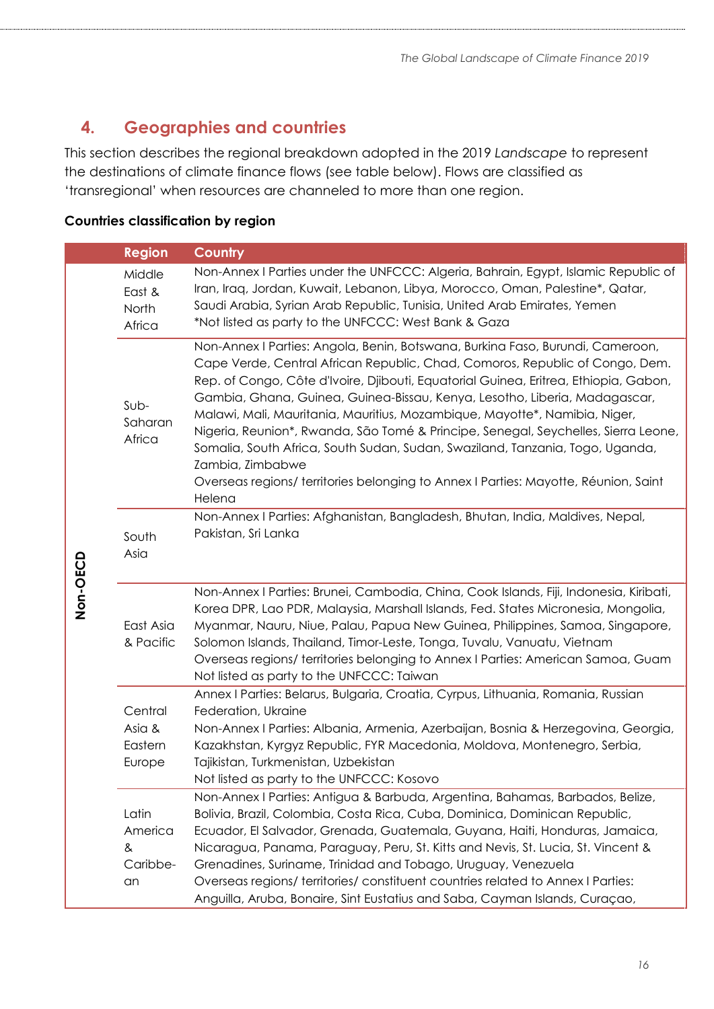# **4. Geographies and countries**

This section describes the regional breakdown adopted in the 2019 *Landscape* to represent the destinations of climate finance flows (see table below). Flows are classified as 'transregional' when resources are channeled to more than one region.

### **Countries classification by region**

|          | <b>Region</b>                           | <b>Country</b>                                                                                                                                                                                                                                                                                                                                                                                                                                                                                                                                                                                                                                                                                                 |
|----------|-----------------------------------------|----------------------------------------------------------------------------------------------------------------------------------------------------------------------------------------------------------------------------------------------------------------------------------------------------------------------------------------------------------------------------------------------------------------------------------------------------------------------------------------------------------------------------------------------------------------------------------------------------------------------------------------------------------------------------------------------------------------|
| Non-OECD | Middle<br>East &<br>North<br>Africa     | Non-Annex I Parties under the UNFCCC: Algeria, Bahrain, Egypt, Islamic Republic of<br>Iran, Iraq, Jordan, Kuwait, Lebanon, Libya, Morocco, Oman, Palestine*, Qatar,<br>Saudi Arabia, Syrian Arab Republic, Tunisia, United Arab Emirates, Yemen<br>*Not listed as party to the UNFCCC: West Bank & Gaza                                                                                                                                                                                                                                                                                                                                                                                                        |
|          | $Sub-$<br>Saharan<br>Africa             | Non-Annex I Parties: Angola, Benin, Botswana, Burkina Faso, Burundi, Cameroon,<br>Cape Verde, Central African Republic, Chad, Comoros, Republic of Congo, Dem.<br>Rep. of Congo, Côte d'Ivoire, Djibouti, Equatorial Guinea, Eritrea, Ethiopia, Gabon,<br>Gambia, Ghana, Guinea, Guinea-Bissau, Kenya, Lesotho, Liberia, Madagascar,<br>Malawi, Mali, Mauritania, Mauritius, Mozambique, Mayotte*, Namibia, Niger,<br>Nigeria, Reunion*, Rwanda, São Tomé & Principe, Senegal, Seychelles, Sierra Leone,<br>Somalia, South Africa, South Sudan, Sudan, Swaziland, Tanzania, Togo, Uganda,<br>Zambia, Zimbabwe<br>Overseas regions/ territories belonging to Annex I Parties: Mayotte, Réunion, Saint<br>Helena |
|          | South<br>Asia                           | Non-Annex I Parties: Afghanistan, Bangladesh, Bhutan, India, Maldives, Nepal,<br>Pakistan, Sri Lanka                                                                                                                                                                                                                                                                                                                                                                                                                                                                                                                                                                                                           |
|          | East Asia<br>& Pacific                  | Non-Annex I Parties: Brunei, Cambodia, China, Cook Islands, Fiji, Indonesia, Kiribati,<br>Korea DPR, Lao PDR, Malaysia, Marshall Islands, Fed. States Micronesia, Mongolia,<br>Myanmar, Nauru, Niue, Palau, Papua New Guinea, Philippines, Samoa, Singapore,<br>Solomon Islands, Thailand, Timor-Leste, Tonga, Tuvalu, Vanuatu, Vietnam<br>Overseas regions/ territories belonging to Annex I Parties: American Samoa, Guam<br>Not listed as party to the UNFCCC: Taiwan                                                                                                                                                                                                                                       |
|          | Central<br>Asia &<br>Eastern<br>Europe  | Annex I Parties: Belarus, Bulgaria, Croatia, Cyrpus, Lithuania, Romania, Russian<br>Federation, Ukraine<br>Non-Annex I Parties: Albania, Armenia, Azerbaijan, Bosnia & Herzegovina, Georgia,<br>Kazakhstan, Kyrgyz Republic, FYR Macedonia, Moldova, Montenegro, Serbia,<br>Tajikistan, Turkmenistan, Uzbekistan<br>Not listed as party to the UNFCCC: Kosovo                                                                                                                                                                                                                                                                                                                                                  |
|          | Latin<br>America<br>&<br>Caribbe-<br>an | Non-Annex I Parties: Antigua & Barbuda, Argentina, Bahamas, Barbados, Belize,<br>Bolivia, Brazil, Colombia, Costa Rica, Cuba, Dominica, Dominican Republic,<br>Ecuador, El Salvador, Grenada, Guatemala, Guyana, Haiti, Honduras, Jamaica,<br>Nicaragua, Panama, Paraguay, Peru, St. Kitts and Nevis, St. Lucia, St. Vincent &<br>Grenadines, Suriname, Trinidad and Tobago, Uruguay, Venezuela<br>Overseas regions/territories/constituent countries related to Annex I Parties:<br>Anguilla, Aruba, Bonaire, Sint Eustatius and Saba, Cayman Islands, Curaçao,                                                                                                                                               |

*16*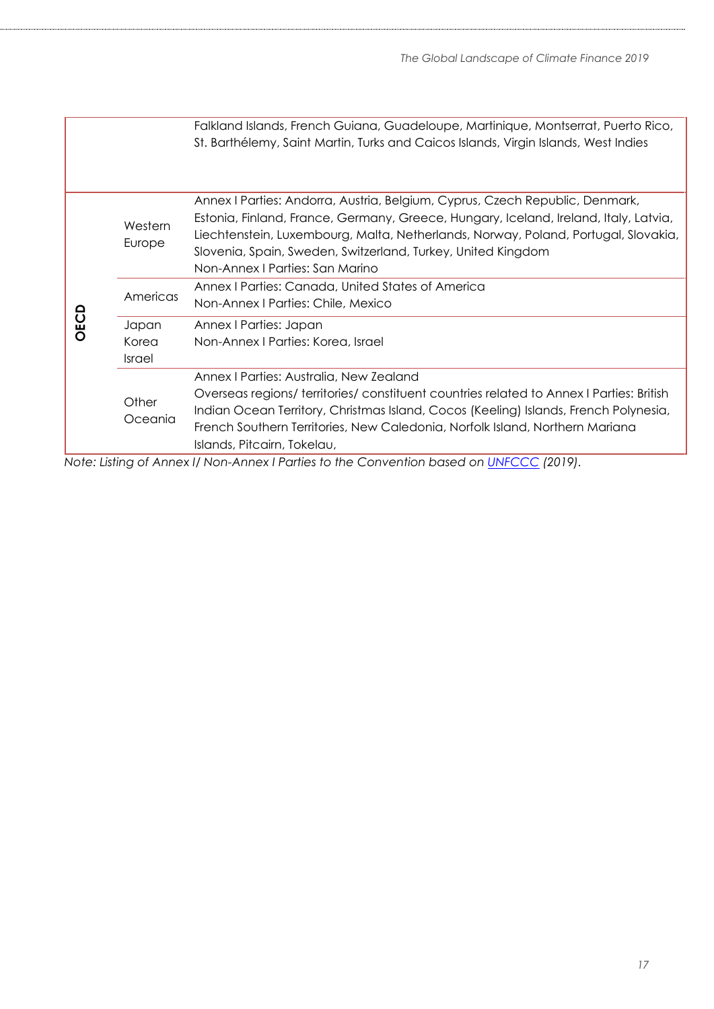|      |                                 | Falkland Islands, French Guiana, Guadeloupe, Martinique, Montserrat, Puerto Rico,<br>St. Barthélemy, Saint Martin, Turks and Caicos Islands, Virgin Islands, West Indies                                                                                                                                                                                      |
|------|---------------------------------|---------------------------------------------------------------------------------------------------------------------------------------------------------------------------------------------------------------------------------------------------------------------------------------------------------------------------------------------------------------|
| OECD | Western<br>Europe               | Annex I Parties: Andorra, Austria, Belgium, Cyprus, Czech Republic, Denmark,<br>Estonia, Finland, France, Germany, Greece, Hungary, Iceland, Ireland, Italy, Latvia,<br>Liechtenstein, Luxembourg, Malta, Netherlands, Norway, Poland, Portugal, Slovakia,<br>Slovenia, Spain, Sweden, Switzerland, Turkey, United Kingdom<br>Non-Annex   Parties: San Marino |
|      | Americas                        | Annex I Parties: Canada, United States of America<br>Non-Annex   Parties: Chile, Mexico                                                                                                                                                                                                                                                                       |
|      | Japan<br>Korea<br><b>Israel</b> | Annex   Parties: Japan<br>Non-Annex I Parties: Korea, Israel                                                                                                                                                                                                                                                                                                  |
|      | Other<br>Oceania                | Annex I Parties: Australia, New Zealand<br>Overseas regions/territories/constituent countries related to Annex I Parties: British<br>Indian Ocean Territory, Christmas Island, Cocos (Keeling) Islands, French Polynesia,<br>French Southern Territories, New Caledonia, Norfolk Island, Northern Mariana<br>Islands, Pitcairn, Tokelau,                      |

*Note: Listing of Annex I/ Non-Annex I Parties to the Convention based on [UNFCCC](https://unfccc.int/process/parties-non-party-stakeholders/parties-convention-and-observer-states?field_national_communications_target_id%5B515%5D=515) (2019).*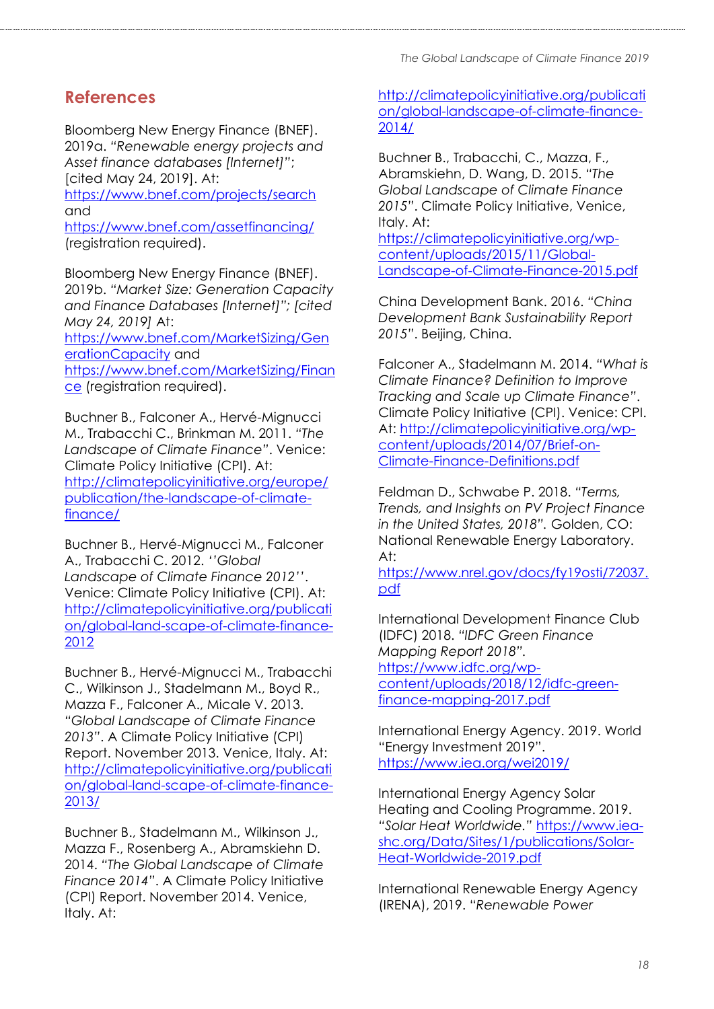## **References**

Bloomberg New Energy Finance (BNEF). 2019a. *"Renewable energy projects and Asset finance databases [Internet]"*; [cited May 24, 2019]. At:

<https://www.bnef.com/projects/search> and

<https://www.bnef.com/assetfinancing/> (registration required).

Bloomberg New Energy Finance (BNEF). 2019b. *"Market Size: Generation Capacity and Finance Databases [Internet]"; [cited May 24, 2019]* At: [https://www.bnef.com/MarketSizing/Gen](https://www.bnef.com/MarketSizing/GenerationCapacity)

[erationCapacity](https://www.bnef.com/MarketSizing/GenerationCapacity) and

[https://www.bnef.com/MarketSizing/Finan](https://www.bnef.com/MarketSizing/Finance) [ce](https://www.bnef.com/MarketSizing/Finance) (registration required).

Buchner B., Falconer A., Hervé-Mignucci M., Trabacchi C., Brinkman M. 2011. *"The Landscape of Climate Finance"*. Venice: Climate Policy Initiative (CPI). At: [http://climatepolicyinitiative.org/europe/](http://climatepolicyinitiative.org/europe/publication/the-landscape-of-climate-finance/) [publication/the-landscape-of-climate](http://climatepolicyinitiative.org/europe/publication/the-landscape-of-climate-finance/)[finance/](http://climatepolicyinitiative.org/europe/publication/the-landscape-of-climate-finance/)

Buchner B., Hervé-Mignucci M., Falconer A., Trabacchi C. 2012. *''Global Landscape of Climate Finance 2012''*. Venice: Climate Policy Initiative (CPI). At: [http://climatepolicyinitiative.org/publicati](http://climatepolicyinitiative.org/publication/global-land-scape-of-climate-finance-2012) [on/global-land-scape-of-climate-finance-](http://climatepolicyinitiative.org/publication/global-land-scape-of-climate-finance-2012)[2012](http://climatepolicyinitiative.org/publication/global-land-scape-of-climate-finance-2012)

Buchner B., Hervé-Mignucci M., Trabacchi C., Wilkinson J., Stadelmann M., Boyd R., Mazza F., Falconer A., Micale V. 2013. *"Global Landscape of Climate Finance 2013"*. A Climate Policy Initiative (CPI) Report. November 2013. Venice, Italy. At: [http://climatepolicyinitiative.org/publicati](http://climatepolicyinitiative.org/publication/global-land-scape-of-climate-finance-2013/) [on/global-land-scape-of-climate-finance-](http://climatepolicyinitiative.org/publication/global-land-scape-of-climate-finance-2013/)[2013/](http://climatepolicyinitiative.org/publication/global-land-scape-of-climate-finance-2013/)

Buchner B., Stadelmann M., Wilkinson J., Mazza F., Rosenberg A., Abramskiehn D. 2014. *"The Global Landscape of Climate Finance 2014"*. A Climate Policy Initiative (CPI) Report. November 2014. Venice, Italy. At:

[http://climatepolicyinitiative.org/publicati](http://climatepolicyinitiative.org/publicati%20on/global-landscape-of-climate-finance-2014/)  [on/global-landscape-of-climate-finance-](http://climatepolicyinitiative.org/publicati%20on/global-landscape-of-climate-finance-2014/)[2014/](http://climatepolicyinitiative.org/publicati%20on/global-landscape-of-climate-finance-2014/)

Buchner B., Trabacchi, C., Mazza, F., Abramskiehn, D. Wang, D. 2015. *"The Global Landscape of Climate Finance 2015"*. Climate Policy Initiative, Venice, Italy. At:

[https://climatepolicyinitiative.org/wp](https://climatepolicyinitiative.org/wp-content/uploads/2015/11/Global-Landscape-of-Climate-Finance-2015.pdf)[content/uploads/2015/11/Global-](https://climatepolicyinitiative.org/wp-content/uploads/2015/11/Global-Landscape-of-Climate-Finance-2015.pdf)[Landscape-of-Climate-Finance-2015.pdf](https://climatepolicyinitiative.org/wp-content/uploads/2015/11/Global-Landscape-of-Climate-Finance-2015.pdf)

China Development Bank. 2016. *"China Development Bank Sustainability Report 2015"*. Beijing, China.

Falconer A., Stadelmann M. 2014. *"What is Climate Finance? Definition to Improve Tracking and Scale up Climate Finance"*. Climate Policy Initiative (CPI). Venice: CPI. At: [http://climatepolicyinitiative.org/wp](http://climatepolicyinitiative.org/wp-content/uploads/2014/07/Brief-on-Climate-Finance-Definitions.pdf)[content/uploads/2014/07/Brief-on-](http://climatepolicyinitiative.org/wp-content/uploads/2014/07/Brief-on-Climate-Finance-Definitions.pdf)[Climate-Finance-Definitions.pdf](http://climatepolicyinitiative.org/wp-content/uploads/2014/07/Brief-on-Climate-Finance-Definitions.pdf)

Feldman D., Schwabe P. 2018. *"Terms, Trends, and Insights on PV Project Finance in the United States, 2018".* Golden, CO: National Renewable Energy Laboratory. At:

[https://www.nrel.gov/docs/fy19osti/72037.](https://www.nrel.gov/docs/fy19osti/72037.pdf) [pdf](https://www.nrel.gov/docs/fy19osti/72037.pdf)

International Development Finance Club (IDFC) 2018. *"IDFC Green Finance Mapping Report 2018".* [https://www.idfc.org/wp](https://www.idfc.org/wp-content/uploads/2018/12/idfc-green-finance-mapping-2017.pdf)[content/uploads/2018/12/idfc-green](https://www.idfc.org/wp-content/uploads/2018/12/idfc-green-finance-mapping-2017.pdf)[finance-mapping-2017.pdf](https://www.idfc.org/wp-content/uploads/2018/12/idfc-green-finance-mapping-2017.pdf)

International Energy Agency. 2019. World "Energy Investment 2019". <https://www.iea.org/wei2019/>

International Energy Agency Solar Heating and Cooling Programme. 2019. *"Solar Heat Worldwide."* [https://www.iea](https://www.iea-shc.org/Data/Sites/1/publications/Solar-Heat-Worldwide-2019.pdf)[shc.org/Data/Sites/1/publications/Solar-](https://www.iea-shc.org/Data/Sites/1/publications/Solar-Heat-Worldwide-2019.pdf)[Heat-Worldwide-2019.pdf](https://www.iea-shc.org/Data/Sites/1/publications/Solar-Heat-Worldwide-2019.pdf)

International Renewable Energy Agency (IRENA), 2019. "*Renewable Power*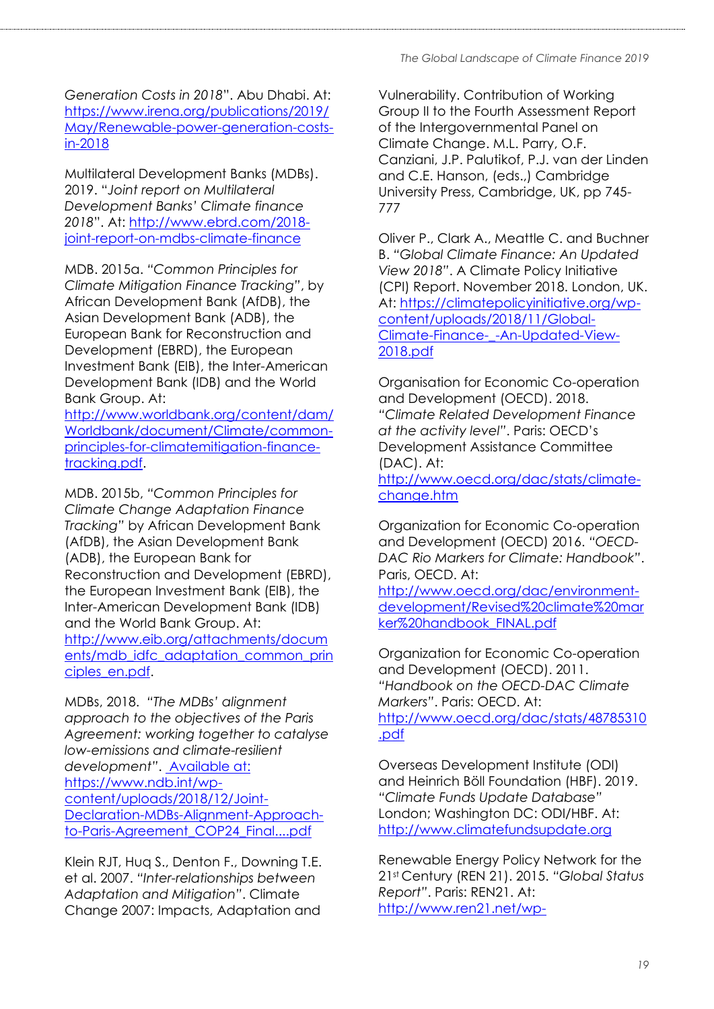*Generation Costs in 2018*". Abu Dhabi. At: [https://www.irena.org/publications/2019/](https://www.irena.org/publications/2019/May/Renewable-power-generation-costs-in-2018) [May/Renewable-power-generation-costs](https://www.irena.org/publications/2019/May/Renewable-power-generation-costs-in-2018)[in-2018](https://www.irena.org/publications/2019/May/Renewable-power-generation-costs-in-2018)

Multilateral Development Banks (MDBs). 2019. "*Joint report on Multilateral Development Banks' Climate finance 2018*". At: [http://www.ebrd.com/2018](http://www.ebrd.com/2018-joint-report-on-mdbs-climate-finance) [joint-report-on-mdbs-climate-finance](http://www.ebrd.com/2018-joint-report-on-mdbs-climate-finance)

MDB. 2015a. *"Common Principles for Climate Mitigation Finance Tracking"*, by African Development Bank (AfDB), the Asian Development Bank (ADB), the European Bank for Reconstruction and Development (EBRD), the European Investment Bank (EIB), the Inter-American Development Bank (IDB) and the World Bank Group. At:

[http://www.worldbank.org/content/dam/](http://www.worldbank.org/content/dam/Worldbank/document/Climate/common-principles-for-climatemitigation-finance-tracking.pdf) [Worldbank/document/Climate/common](http://www.worldbank.org/content/dam/Worldbank/document/Climate/common-principles-for-climatemitigation-finance-tracking.pdf)[principles-for-climatemitigation-finance](http://www.worldbank.org/content/dam/Worldbank/document/Climate/common-principles-for-climatemitigation-finance-tracking.pdf)[tracking.pdf.](http://www.worldbank.org/content/dam/Worldbank/document/Climate/common-principles-for-climatemitigation-finance-tracking.pdf)

MDB. 2015b, *"Common Principles for Climate Change Adaptation Finance Tracking"* by African Development Bank (AfDB), the Asian Development Bank (ADB), the European Bank for Reconstruction and Development (EBRD), the European Investment Bank (EIB), the Inter-American Development Bank (IDB) and the World Bank Group. At: [http://www.eib.org/attachments/docum](http://www.eib.org/attachments/documents/mdb_idfc_adaptation_common_principles_en.pdf) [ents/mdb\\_idfc\\_adaptation\\_common\\_prin](http://www.eib.org/attachments/documents/mdb_idfc_adaptation_common_principles_en.pdf) [ciples\\_en.pdf.](http://www.eib.org/attachments/documents/mdb_idfc_adaptation_common_principles_en.pdf)

MDBs, 2018. *"The MDBs' alignment approach to the objectives of the Paris Agreement: working together to catalyse low-emissions and climate-resilient development"*. Available at: [https://www.ndb.int/wp](https://www.ndb.int/wp-content/uploads/2018/12/Joint-Declaration-MDBs-Alignment-Approach-to-Paris-Agreement_COP24_Final....pdf)[content/uploads/2018/12/Joint-](https://www.ndb.int/wp-content/uploads/2018/12/Joint-Declaration-MDBs-Alignment-Approach-to-Paris-Agreement_COP24_Final....pdf)[Declaration-MDBs-Alignment-Approach](https://www.ndb.int/wp-content/uploads/2018/12/Joint-Declaration-MDBs-Alignment-Approach-to-Paris-Agreement_COP24_Final....pdf)[to-Paris-Agreement\\_COP24\\_Final....pdf](https://www.ndb.int/wp-content/uploads/2018/12/Joint-Declaration-MDBs-Alignment-Approach-to-Paris-Agreement_COP24_Final....pdf)

Klein RJT, Huq S., Denton F., Downing T.E. et al. 2007. *"Inter-relationships between Adaptation and Mitigation"*. Climate Change 2007: Impacts, Adaptation and

Vulnerability. Contribution of Working Group II to the Fourth Assessment Report of the Intergovernmental Panel on Climate Change. M.L. Parry, O.F. Canziani, J.P. Palutikof, P.J. van der Linden and C.E. Hanson, (eds.,) Cambridge University Press, Cambridge, UK, pp 745- 777

Oliver P., Clark A., Meattle C. and Buchner B. *"Global Climate Finance: An Updated View 2018"*. A Climate Policy Initiative (CPI) Report. November 2018. London, UK. At: [https://climatepolicyinitiative.org/wp](https://climatepolicyinitiative.org/wp-content/uploads/2018/11/Global-Climate-Finance-_-An-Updated-View-2018.pdf)[content/uploads/2018/11/Global-](https://climatepolicyinitiative.org/wp-content/uploads/2018/11/Global-Climate-Finance-_-An-Updated-View-2018.pdf)[Climate-Finance-\\_-An-Updated-View-](https://climatepolicyinitiative.org/wp-content/uploads/2018/11/Global-Climate-Finance-_-An-Updated-View-2018.pdf)[2018.pdf](https://climatepolicyinitiative.org/wp-content/uploads/2018/11/Global-Climate-Finance-_-An-Updated-View-2018.pdf)

Organisation for Economic Co-operation and Development (OECD). 2018. *"Climate Related Development Finance at the activity level"*. Paris: OECD's Development Assistance Committee (DAC). At:

[http://www.oecd.org/dac/stats/climate](http://www.oecd.org/dac/stats/climate-change.htm)[change.htm](http://www.oecd.org/dac/stats/climate-change.htm)

Organization for Economic Co-operation and Development (OECD) 2016. *"OECD-DAC Rio Markers for Climate: Handbook"*. Paris, OECD. At:

[http://www.oecd.org/dac/environment](http://www.oecd.org/dac/environment-development/Revised%20climate%20marker%20handbook_FINAL.pdf)[development/Revised%20climate%20mar](http://www.oecd.org/dac/environment-development/Revised%20climate%20marker%20handbook_FINAL.pdf) [ker%20handbook\\_FINAL.pdf](http://www.oecd.org/dac/environment-development/Revised%20climate%20marker%20handbook_FINAL.pdf)

Organization for Economic Co-operation and Development (OECD). 2011. *"Handbook on the OECD-DAC Climate Markers"*. Paris: OECD. At: [http://www.oecd.org/dac/stats/48785310](http://www.oecd.org/dac/stats/48785310.pdf) [.pdf](http://www.oecd.org/dac/stats/48785310.pdf)

Overseas Development Institute (ODI) and Heinrich Böll Foundation (HBF). 2019. *"Climate Funds Update Database"* London; Washington DC: ODI/HBF. At: [http://www.climatefundsupdate.org](http://www.climatefundsupdate.org/)

Renewable Energy Policy Network for the 21st Century (REN 21). 2015. *"Global Status Report"*. Paris: REN21. At: [http://www.ren21.net/wp-](http://www.ren21.net/wp-content/uploads/2015/07/REN12-GSR2015_Onlinebook_low1.pdf)